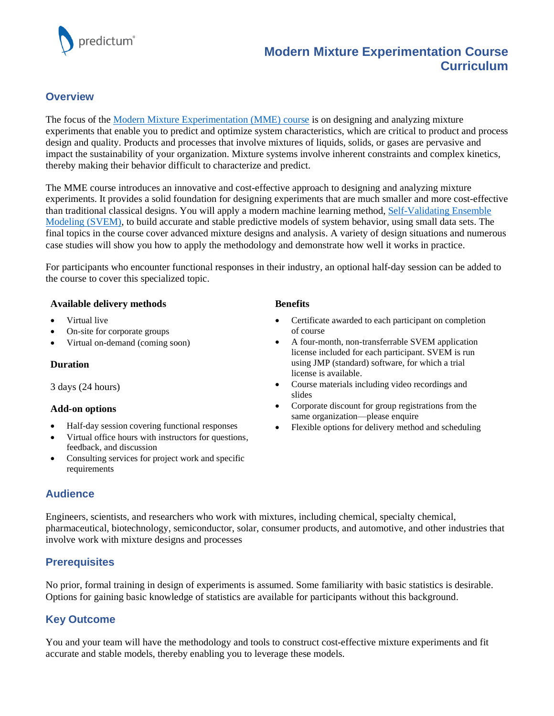

# **Modern Mixture Experimentation Course Curriculum**

## **Overview**

The focus of the [Modern Mixture Experimentation \(MME\) course](https://predictum.com/courses/modern-mixture-experimentation/) is on designing and analyzing mixture experiments that enable you to predict and optimize system characteristics, which are critical to product and process design and quality. Products and processes that involve mixtures of liquids, solids, or gases are pervasive and impact the sustainability of your organization. Mixture systems involve inherent constraints and complex kinetics, thereby making their behavior difficult to characterize and predict.

The MME course introduces an innovative and cost-effective approach to designing and analyzing mixture experiments. It provides a solid foundation for designing experiments that are much smaller and more cost-effective than traditional classical designs. You will apply a modern machine learning method[, Self-Validating](https://predictum.com/products/svem/) Ensemble [Modeling](https://predictum.com/products/svem/) (SVEM), to build accurate and stable predictive models of system behavior, using small data sets. The final topics in the course cover advanced mixture designs and analysis. A variety of design situations and numerous case studies will show you how to apply the methodology and demonstrate how well it works in practice.

For participants who encounter functional responses in their industry, an optional half-day session can be added to the course to cover this specialized topic.

#### **Available delivery methods**

- Virtual live
- On-site for corporate groups
- Virtual on-demand (coming soon)

#### **Duration**

3 days (24 hours)

### **Add-on options**

- Half-day session covering functional responses
- Virtual office hours with instructors for questions, feedback, and discussion
- Consulting services for project work and specific requirements

## **Audience**

Engineers, scientists, and researchers who work with mixtures, including chemical, specialty chemical, pharmaceutical, biotechnology, semiconductor, solar, consumer products, and automotive, and other industries that involve work with mixture designs and processes

## **Prerequisites**

No prior, formal training in design of experiments is assumed. Some familiarity with basic statistics is desirable. Options for gaining basic knowledge of statistics are available for participants without this background.

## **Key Outcome**

You and your team will have the methodology and tools to construct cost-effective mixture experiments and fit accurate and stable models, thereby enabling you to leverage these models.

#### **Benefits**

- Certificate awarded to each participant on completion of course
- A four-month, non-transferrable SVEM application license included for each participant. SVEM is run using JMP (standard) software, for which a trial license is available.
- Course materials including video recordings and slides
- Corporate discount for group registrations from the same organization—please enquire
- Flexible options for delivery method and scheduling